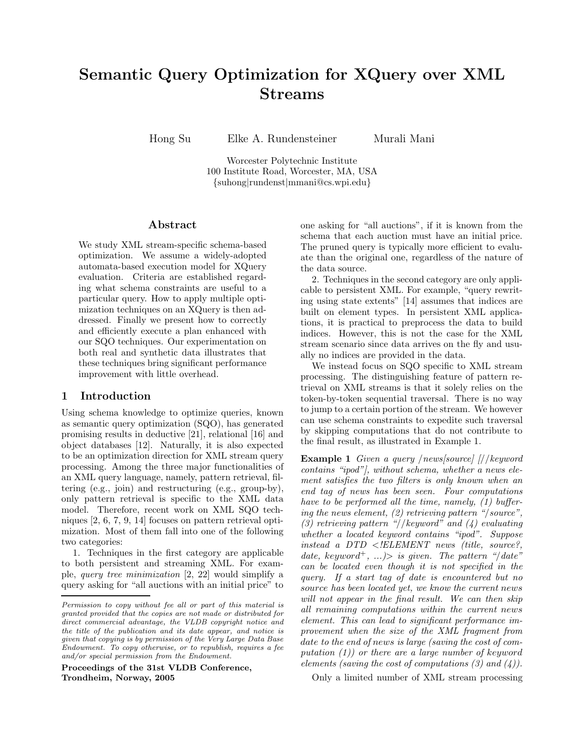# Semantic Query Optimization for XQuery over XML Streams

Hong Su Elke A. Rundensteiner Murali Mani

Worcester Polytechnic Institute 100 Institute Road, Worcester, MA, USA {suhong|rundenst|mmani@cs.wpi.edu}

## Abstract

We study XML stream-specific schema-based optimization. We assume a widely-adopted automata-based execution model for XQuery evaluation. Criteria are established regarding what schema constraints are useful to a particular query. How to apply multiple optimization techniques on an XQuery is then addressed. Finally we present how to correctly and efficiently execute a plan enhanced with our SQO techniques. Our experimentation on both real and synthetic data illustrates that these techniques bring significant performance improvement with little overhead.

# 1 Introduction

Using schema knowledge to optimize queries, known as semantic query optimization (SQO), has generated promising results in deductive [21], relational [16] and object databases [12]. Naturally, it is also expected to be an optimization direction for XML stream query processing. Among the three major functionalities of an XML query language, namely, pattern retrieval, filtering (e.g., join) and restructuring (e.g., group-by), only pattern retrieval is specific to the XML data model. Therefore, recent work on XML SQO techniques [2, 6, 7, 9, 14] focuses on pattern retrieval optimization. Most of them fall into one of the following two categories:

1. Techniques in the first category are applicable to both persistent and streaming XML. For example, query tree minimization [2, 22] would simplify a query asking for "all auctions with an initial price" to

Proceedings of the 31st VLDB Conference, Trondheim, Norway, 2005

one asking for "all auctions", if it is known from the schema that each auction must have an initial price. The pruned query is typically more efficient to evaluate than the original one, regardless of the nature of the data source.

2. Techniques in the second category are only applicable to persistent XML. For example, "query rewriting using state extents" [14] assumes that indices are built on element types. In persistent XML applications, it is practical to preprocess the data to build indices. However, this is not the case for the XML stream scenario since data arrives on the fly and usually no indices are provided in the data.

We instead focus on SQO specific to XML stream processing. The distinguishing feature of pattern retrieval on XML streams is that it solely relies on the token-by-token sequential traversal. There is no way to jump to a certain portion of the stream. We however can use schema constraints to expedite such traversal by skipping computations that do not contribute to the final result, as illustrated in Example 1.

Example 1 Given a query /news[source] [//keyword contains "ipod"], without schema, whether a news element satisfies the two filters is only known when an end tag of news has been seen. Four computations have to be performed all the time, namely, (1) buffering the news element, (2) retrieving pattern "/source", (3) retrieving pattern "//keyword" and  $(4)$  evaluating whether a located keyword contains "ipod". Suppose instead a DTD  $\langle$  ELEMENT news (title, source?, date, keyword<sup>+</sup>, ...) is given. The pattern "/date" can be located even though it is not specified in the query. If a start tag of date is encountered but no source has been located yet, we know the current news will not appear in the final result. We can then skip all remaining computations within the current news element. This can lead to significant performance improvement when the size of the XML fragment from date to the end of news is large (saving the cost of computation (1)) or there are a large number of keyword elements (saving the cost of computations  $(3)$  and  $(4)$ ).

Only a limited number of XML stream processing

Permission to copy without fee all or part of this material is granted provided that the copies are not made or distributed for direct commercial advantage, the VLDB copyright notice and the title of the publication and its date appear, and notice is given that copying is by permission of the Very Large Data Base Endowment. To copy otherwise, or to republish, requires a fee and/or special permission from the Endowment.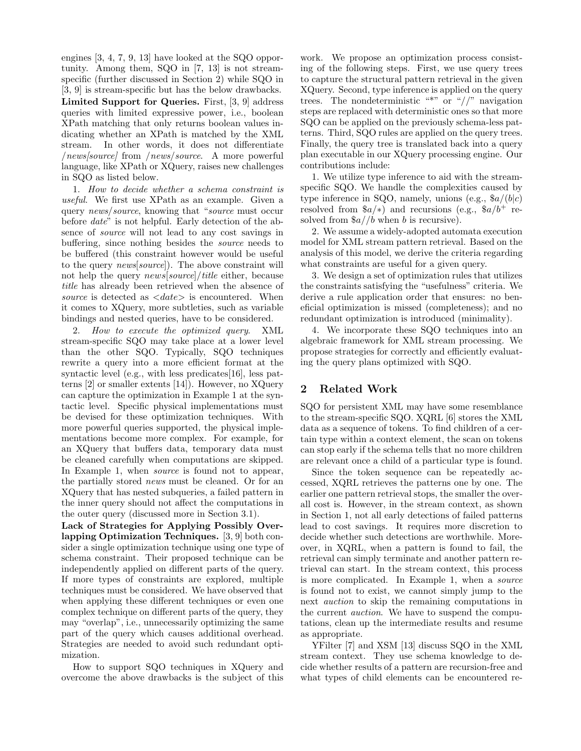engines [3, 4, 7, 9, 13] have looked at the SQO opportunity. Among them, SQO in [7, 13] is not streamspecific (further discussed in Section 2) while SQO in [3, 9] is stream-specific but has the below drawbacks. Limited Support for Queries. First, [3, 9] address queries with limited expressive power, i.e., boolean XPath matching that only returns boolean values indicating whether an XPath is matched by the XML stream. In other words, it does not differentiate /news[source] from /news/source. A more powerful language, like XPath or XQuery, raises new challenges in SQO as listed below.

1. How to decide whether a schema constraint is useful. We first use XPath as an example. Given a query news/source, knowing that "source must occur before date" is not helpful. Early detection of the absence of source will not lead to any cost savings in buffering, since nothing besides the source needs to be buffered (this constraint however would be useful to the query news[source]). The above constraint will not help the query *news*[source]/title either, because title has already been retrieved when the absence of source is detected as  $\langle date \rangle$  is encountered. When it comes to XQuery, more subtleties, such as variable bindings and nested queries, have to be considered.

2. How to execute the optimized query. XML stream-specific SQO may take place at a lower level than the other SQO. Typically, SQO techniques rewrite a query into a more efficient format at the syntactic level (e.g., with less predicates[16], less patterns [2] or smaller extents [14]). However, no XQuery can capture the optimization in Example 1 at the syntactic level. Specific physical implementations must be devised for these optimization techniques. With more powerful queries supported, the physical implementations become more complex. For example, for an XQuery that buffers data, temporary data must be cleaned carefully when computations are skipped. In Example 1, when *source* is found not to appear, the partially stored news must be cleaned. Or for an XQuery that has nested subqueries, a failed pattern in the inner query should not affect the computations in the outer query (discussed more in Section 3.1).

Lack of Strategies for Applying Possibly Overlapping Optimization Techniques. [3, 9] both consider a single optimization technique using one type of schema constraint. Their proposed technique can be independently applied on different parts of the query. If more types of constraints are explored, multiple techniques must be considered. We have observed that when applying these different techniques or even one complex technique on different parts of the query, they may "overlap", i.e., unnecessarily optimizing the same part of the query which causes additional overhead. Strategies are needed to avoid such redundant optimization.

How to support SQO techniques in XQuery and overcome the above drawbacks is the subject of this

work. We propose an optimization process consisting of the following steps. First, we use query trees to capture the structural pattern retrieval in the given XQuery. Second, type inference is applied on the query trees. The nondeterministic "\*" or "//" navigation steps are replaced with deterministic ones so that more SQO can be applied on the previously schema-less patterns. Third, SQO rules are applied on the query trees. Finally, the query tree is translated back into a query plan executable in our XQuery processing engine. Our contributions include:

1. We utilize type inference to aid with the streamspecific SQO. We handle the complexities caused by type inference in SQO, namely, unions (e.g.,  $a/(b|c)$ ) resolved from  $a/*$ ) and recursions (e.g.,  $a/b^+$  resolved from  $a$ //b when b is recursive).

2. We assume a widely-adopted automata execution model for XML stream pattern retrieval. Based on the analysis of this model, we derive the criteria regarding what constraints are useful for a given query.

3. We design a set of optimization rules that utilizes the constraints satisfying the "usefulness" criteria. We derive a rule application order that ensures: no beneficial optimization is missed (completeness); and no redundant optimization is introduced (minimality).

4. We incorporate these SQO techniques into an algebraic framework for XML stream processing. We propose strategies for correctly and efficiently evaluating the query plans optimized with SQO.

# 2 Related Work

SQO for persistent XML may have some resemblance to the stream-specific SQO. XQRL [6] stores the XML data as a sequence of tokens. To find children of a certain type within a context element, the scan on tokens can stop early if the schema tells that no more children are relevant once a child of a particular type is found.

Since the token sequence can be repeatedly accessed, XQRL retrieves the patterns one by one. The earlier one pattern retrieval stops, the smaller the overall cost is. However, in the stream context, as shown in Section 1, not all early detections of failed patterns lead to cost savings. It requires more discretion to decide whether such detections are worthwhile. Moreover, in XQRL, when a pattern is found to fail, the retrieval can simply terminate and another pattern retrieval can start. In the stream context, this process is more complicated. In Example 1, when a source is found not to exist, we cannot simply jump to the next auction to skip the remaining computations in the current auction. We have to suspend the computations, clean up the intermediate results and resume as appropriate.

YFilter [7] and XSM [13] discuss SQO in the XML stream context. They use schema knowledge to decide whether results of a pattern are recursion-free and what types of child elements can be encountered re-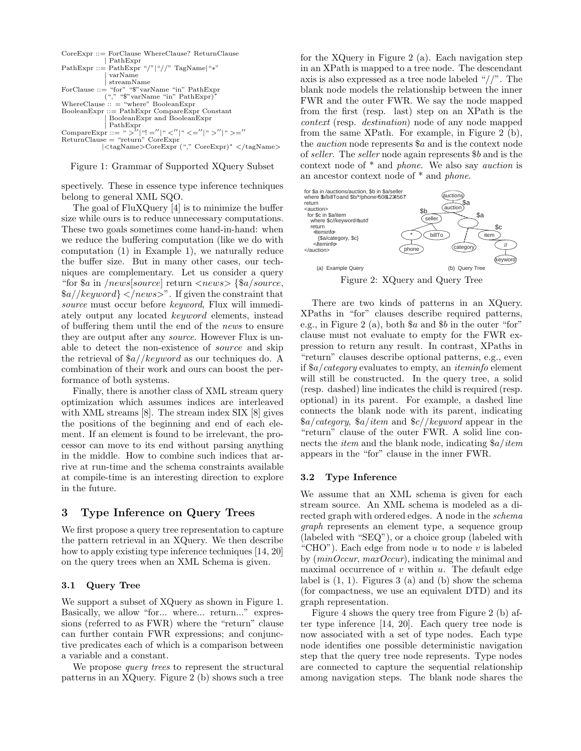

Figure 1: Grammar of Supported XQuery Subset

spectively. These in essence type inference techniques belong to general XML SQO.

The goal of FluXQuery [4] is to minimize the buffer size while ours is to reduce unnecessary computations. These two goals sometimes come hand-in-hand: when we reduce the buffering computation (like we do with computation (1) in Example 1), we naturally reduce the buffer size. But in many other cases, our techniques are complementary. Let us consider a query "for  $a$  in /news[source] return  $\langle news \rangle$  { $a/source$ }  $\alpha$ //keyword} </news>". If given the constraint that source must occur before keyword, Flux will immediately output any located keyword elements, instead of buffering them until the end of the news to ensure they are output after any *source*. However Flux is unable to detect the non-existence of source and skip the retrieval of  $a// keyword$  as our techniques do. A combination of their work and ours can boost the performance of both systems.

Finally, there is another class of XML stream query optimization which assumes indices are interleaved with XML streams [8]. The stream index SIX [8] gives the positions of the beginning and end of each element. If an element is found to be irrelevant, the processor can move to its end without parsing anything in the middle. How to combine such indices that arrive at run-time and the schema constraints available at compile-time is an interesting direction to explore in the future.

# 3 Type Inference on Query Trees

We first propose a query tree representation to capture the pattern retrieval in an XQuery. We then describe how to apply existing type inference techniques [14, 20] on the query trees when an XML Schema is given.

#### 3.1 Query Tree

We support a subset of XQuery as shown in Figure 1. Basically, we allow "for... where... return..." expressions (referred to as FWR) where the "return" clause can further contain FWR expressions; and conjunctive predicates each of which is a comparison between a variable and a constant.

We propose *query trees* to represent the structural patterns in an XQuery. Figure 2 (b) shows such a tree

for the XQuery in Figure 2 (a). Each navigation step in an XPath is mapped to a tree node. The descendant axis is also expressed as a tree node labeled "//". The blank node models the relationship between the inner FWR and the outer FWR. We say the node mapped from the first (resp. last) step on an XPath is the context (resp. destination) node of any node mapped from the same XPath. For example, in Figure 2 (b), the auction node represents \$a and is the context node of seller. The seller node again represents \$b and is the context node of \* and phone. We also say auction is an ancestor context node of \* and phone.



There are two kinds of patterns in an XQuery. XPaths in "for" clauses describe required patterns, e.g., in Figure 2 (a), both  $a$  and  $b$  in the outer "for" clause must not evaluate to empty for the FWR expression to return any result. In contrast, XPaths in "return" clauses describe optional patterns, e.g., even if \$a/category evaluates to empty, an iteminfo element will still be constructed. In the query tree, a solid (resp. dashed) line indicates the child is required (resp. optional) in its parent. For example, a dashed line connects the blank node with its parent, indicating  $a/category,$   $a/item$  and  $c/keyword$  appear in the "return" clause of the outer FWR. A solid line connects the *item* and the blank node, indicating  $\frac{a}{i}$  *item* appears in the "for" clause in the inner FWR.

#### 3.2 Type Inference

We assume that an XML schema is given for each stream source. An XML schema is modeled as a directed graph with ordered edges. A node in the schema graph represents an element type, a sequence group (labeled with "SEQ"), or a choice group (labeled with "CHO"). Each edge from node  $u$  to node  $v$  is labeled by (minOccur, maxOccur), indicating the minimal and maximal occurrence of  $v$  within  $u$ . The default edge label is  $(1, 1)$ . Figures 3 (a) and (b) show the schema (for compactness, we use an equivalent DTD) and its graph representation.

Figure 4 shows the query tree from Figure 2 (b) after type inference [14, 20]. Each query tree node is now associated with a set of type nodes. Each type node identifies one possible deterministic navigation step that the query tree node represents. Type nodes are connected to capture the sequential relationship among navigation steps. The blank node shares the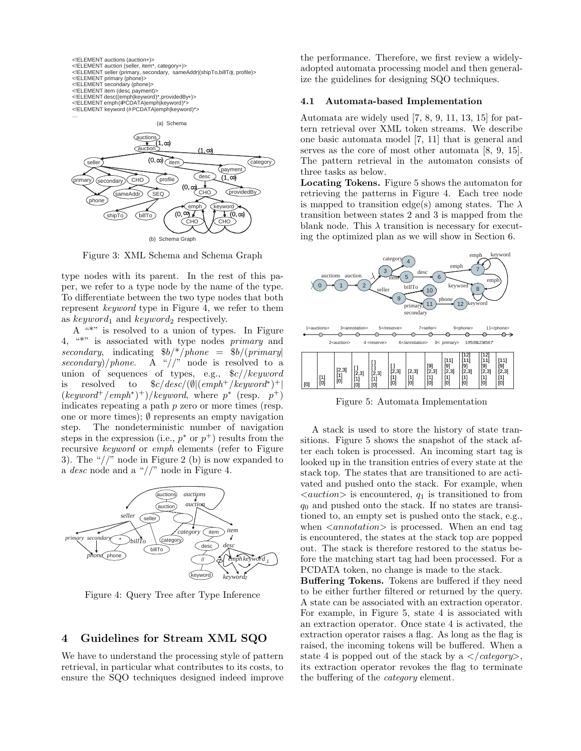



Figure 3: XML Schema and Schema Graph

type nodes with its parent. In the rest of this paper, we refer to a type node by the name of the type. To differentiate between the two type nodes that both represent keyword type in Figure 4, we refer to them as  $keyword_1$  and  $keyword_2$  respectively.

A "\*" is resolved to a union of types. In Figure 4, "\*" is associated with type nodes primary and secondary, indicating  $$b/*/phone = $b/(primary)$ secondary)/phone. A "//" node is resolved to a union of sequences of types, e.g.,  $\frac{c}{k}$  //keyword is resolved to  $\frac{C}{deg}(e)$  ( $\ell^m$ )<sup>+</sup>/ $keyword^*$ <sup>+</sup>/  $(keyword^+/emph^*)^+)/keyword$ , where  $p^*$  (resp.  $p^+)$ ) indicates repeating a path  $p$  zero or more times (resp. one or more times); ∅ represents an empty navigation step. The nondeterministic number of navigation steps in the expression (i.e.,  $p^*$  or  $p^+$ ) results from the recursive keyword or emph elements (refer to Figure 3). The " $\frac{1}{2}$ " node in Figure 2 (b) is now expanded to a desc node and a "//" node in Figure 4.



Figure 4: Query Tree after Type Inference

# 4 Guidelines for Stream XML SQO

We have to understand the processing style of pattern retrieval, in particular what contributes to its costs, to ensure the SQO techniques designed indeed improve the performance. Therefore, we first review a widelyadopted automata processing model and then generalize the guidelines for designing SQO techniques.

#### 4.1 Automata-based Implementation

Automata are widely used [7, 8, 9, 11, 13, 15] for pattern retrieval over XML token streams. We describe one basic automata model [7, 11] that is general and serves as the core of most other automata [8, 9, 15]. The pattern retrieval in the automaton consists of three tasks as below.

Locating Tokens. Figure 5 shows the automaton for retrieving the patterns in Figure 4. Each tree node is mapped to transition edge(s) among states. The  $\lambda$ transition between states 2 and 3 is mapped from the blank node. This  $\lambda$  transition is necessary for executing the optimized plan as we will show in Section 6.



Figure 5: Automata Implementation

A stack is used to store the history of state transitions. Figure 5 shows the snapshot of the stack after each token is processed. An incoming start tag is looked up in the transition entries of every state at the stack top. The states that are transitioned to are activated and pushed onto the stack. For example, when  $\langle \textit{auction} \rangle$  is encountered,  $q_1$  is transitioned to from  $q_0$  and pushed onto the stack. If no states are transitioned to, an empty set is pushed onto the stack, e.g., when  $\langle{}annotation\rangle{}$  is processed. When an end tag is encountered, the states at the stack top are popped out. The stack is therefore restored to the status before the matching start tag had been processed. For a PCDATA token, no change is made to the stack.

Buffering Tokens. Tokens are buffered if they need to be either further filtered or returned by the query. A state can be associated with an extraction operator. For example, in Figure 5, state 4 is associated with an extraction operator. Once state 4 is activated, the extraction operator raises a flag. As long as the flag is raised, the incoming tokens will be buffered. When a state 4 is popped out of the stack by a  $\langle$  category>, its extraction operator revokes the flag to terminate the buffering of the category element.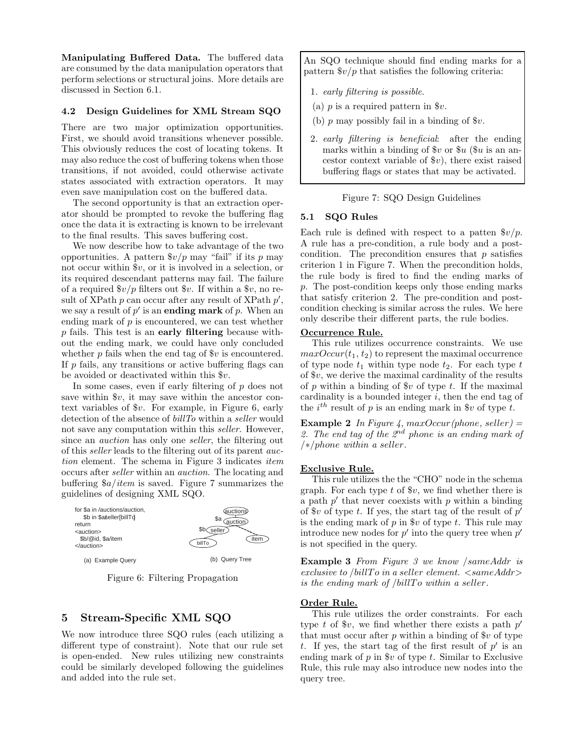Manipulating Buffered Data. The buffered data are consumed by the data manipulation operators that perform selections or structural joins. More details are discussed in Section 6.1.

#### 4.2 Design Guidelines for XML Stream SQO

There are two major optimization opportunities. First, we should avoid transitions whenever possible. This obviously reduces the cost of locating tokens. It may also reduce the cost of buffering tokens when those transitions, if not avoided, could otherwise activate states associated with extraction operators. It may even save manipulation cost on the buffered data.

The second opportunity is that an extraction operator should be prompted to revoke the buffering flag once the data it is extracting is known to be irrelevant to the final results. This saves buffering cost.

We now describe how to take advantage of the two opportunities. A pattern  $\sqrt[6]{p}$  may "fail" if its p may not occur within \$v, or it is involved in a selection, or its required descendant patterns may fail. The failure of a required  $\frac{6v}{p}$  filters out  $v$ . If within a  $v$ , no result of XPath  $p$  can occur after any result of XPath  $p'$ , we say a result of  $p'$  is an **ending mark** of p. When an ending mark of  $p$  is encountered, we can test whether  $p$  fails. This test is an early filtering because without the ending mark, we could have only concluded whether  $p$  fails when the end tag of  $v$  is encountered. If  $p$  fails, any transitions or active buffering flags can be avoided or deactivated within this \$v.

In some cases, even if early filtering of  $p$  does not save within  $v$ , it may save within the ancestor context variables of \$v. For example, in Figure 6, early detection of the absence of *billTo* within a *seller* would not save any computation within this seller. However, since an *auction* has only one *seller*, the filtering out of this seller leads to the filtering out of its parent auction element. The schema in Figure 3 indicates item occurs after seller within an auction. The locating and buffering  $\frac{6a}{item}$  is saved. Figure 7 summarizes the guidelines of designing XML SQO.



Figure 6: Filtering Propagation

# 5 Stream-Specific XML SQO

We now introduce three SQO rules (each utilizing a different type of constraint). Note that our rule set is open-ended. New rules utilizing new constraints could be similarly developed following the guidelines and added into the rule set.

An SQO technique should find ending marks for a pattern  $\frac{6v}{p}$  that satisfies the following criteria:

- 1. early filtering is possible.
- (a)  $p$  is a required pattern in  $v$ .
- (b)  $p$  may possibly fail in a binding of  $v$ .
- 2. early filtering is beneficial: after the ending marks within a binding of  $v$  or  $u$  ( $u$  is an ancestor context variable of  $v$ ), there exist raised buffering flags or states that may be activated.

# Figure 7: SQO Design Guidelines

## 5.1 SQO Rules

Each rule is defined with respect to a patten  $\frac{6v}{p}$ . A rule has a pre-condition, a rule body and a postcondition. The precondition ensures that  $p$  satisfies criterion 1 in Figure 7. When the precondition holds, the rule body is fired to find the ending marks of p. The post-condition keeps only those ending marks that satisfy criterion 2. The pre-condition and postcondition checking is similar across the rules. We here only describe their different parts, the rule bodies.

# Occurrence Rule.

This rule utilizes occurrence constraints. We use  $maxOccur(t_1, t_2)$  to represent the maximal occurrence of type node  $t_1$  within type node  $t_2$ . For each type  $t$ of  $v$ , we derive the maximal cardinality of the results of p within a binding of  $v$  of type t. If the maximal cardinality is a bounded integer  $i$ , then the end tag of the  $i^{th}$  result of p is an ending mark in  $v$  of type t.

**Example 2** In Figure 4, maxOccur(phone, seller) = 2. The end tag of the  $2<sup>nd</sup>$  phone is an ending mark of /∗/phone within a seller.

# Exclusive Rule.

This rule utilizes the the "CHO" node in the schema graph. For each type  $t$  of  $v$ , we find whether there is a path  $p'$  that never coexists with  $p$  within a binding of  $v$  of type t. If yes, the start tag of the result of  $p'$ is the ending mark of p in  $v$  of type t. This rule may introduce new nodes for  $p'$  into the query tree when  $p'$ is not specified in the query.

Example 3 From Figure 3 we know /sameAddr is exclusive to /billTo in a seller element.  $\langle$ sameAddr $\rangle$ is the ending mark of  $\ell$ billTo within a seller.

#### Order Rule.

This rule utilizes the order constraints. For each type  $t$  of  $v$ , we find whether there exists a path  $p'$ that must occur after p within a binding of  $v$  of type t. If yes, the start tag of the first result of  $p'$  is an ending mark of  $p$  in  $v$  of type  $t$ . Similar to Exclusive Rule, this rule may also introduce new nodes into the query tree.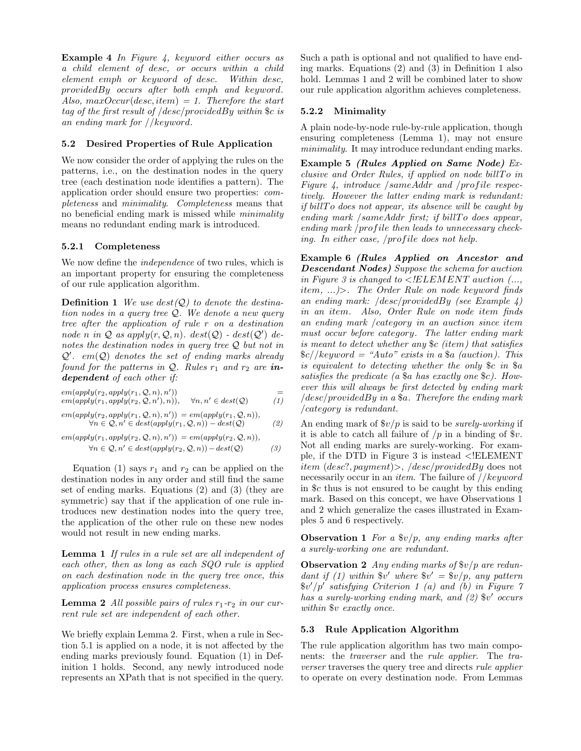Example 4 In Figure 4, keyword either occurs as a child element of desc, or occurs within a child element emph or keyword of desc. Within desc, providedBy occurs after both emph and keyword. Also,  $maxOccur(desc,item) = 1$ . Therefore the start tag of the first result of /desc/providedBy within \$c is an ending mark for //keyword.

## 5.2 Desired Properties of Rule Application

We now consider the order of applying the rules on the patterns, i.e., on the destination nodes in the query tree (each destination node identifies a pattern). The application order should ensure two properties: completeness and minimality. Completeness means that no beneficial ending mark is missed while minimality means no redundant ending mark is introduced.

# 5.2.1 Completeness

We now define the *independence* of two rules, which is an important property for ensuring the completeness of our rule application algorithm.

**Definition 1** We use  $dest(Q)$  to denote the destination nodes in a query tree Q. We denote a new query tree after the application of rule r on a destination node n in  $Q$  as apply $(r, Q, n)$ . dest $(Q)$  - dest $(Q')$  denotes the destination nodes in query tree Q but not in  $Q'$ . em $(Q)$  denotes the set of ending marks already found for the patterns in  $Q$ . Rules  $r_1$  and  $r_2$  are independent of each other if:

 $em(\text{apply}(r_2, \text{apply}(r_1, \mathcal{Q}, n), n'))$ ))  $=$  $em(apply(r_1, apply(r_2, Q, n'), n)),$  $\forall n, n' \in dest(Q)$  (1)

$$
em(aply(r_2, apply(r_1, Q, n), n')) = em(apply(r_1, Q, n)),
$$
  
\n $\forall n \in Q, n' \in dest(apply(r_1, Q, n)) - dest(Q)$  (2)

$$
em(apply(r_1, apply(r_2, Q, n), n')) = em(apply(r_2, Q, n)),
$$
  

$$
\forall n \in Q, n' \in dest(apply(r_2, Q, n)) - dest(Q)
$$
 (3)

Equation (1) says  $r_1$  and  $r_2$  can be applied on the destination nodes in any order and still find the same set of ending marks. Equations (2) and (3) (they are symmetric) say that if the application of one rule introduces new destination nodes into the query tree, the application of the other rule on these new nodes would not result in new ending marks.

Lemma 1 If rules in a rule set are all independent of each other, then as long as each SQO rule is applied on each destination node in the query tree once, this application process ensures completeness.

**Lemma 2** All possible pairs of rules  $r_1$ - $r_2$  in our current rule set are independent of each other.

We briefly explain Lemma 2. First, when a rule in Section 5.1 is applied on a node, it is not affected by the ending marks previously found. Equation (1) in Definition 1 holds. Second, any newly introduced node represents an XPath that is not specified in the query.

Such a path is optional and not qualified to have ending marks. Equations (2) and (3) in Definition 1 also hold. Lemmas 1 and 2 will be combined later to show our rule application algorithm achieves completeness.

# 5.2.2 Minimality

A plain node-by-node rule-by-rule application, though ensuring completeness (Lemma 1), may not ensure minimality. It may introduce redundant ending marks.

Example 5 (Rules Applied on Same Node) Exclusive and Order Rules, if applied on node bill  $To$  in Figure 4, introduce  $\delta$ sameAddr and  $\delta$ profile respectively. However the latter ending mark is redundant: if billT o does not appear, its absence will be caught by ending mark  $\delta$ sameAddr first; if billTo does appear, ending mark /profile then leads to unnecessary checking. In either case, /profile does not help.

Example 6 (Rules Applied on Ancestor and Descendant Nodes) Suppose the schema for auction in Figure 3 is changed to  $\leq !ELEMENT$  auction  $(...,$ item, ...)>. The Order Rule on node keyword finds an ending mark:  $\vert$  desc/provided By (see Example 4) in an item. Also, Order Rule on node item finds an ending mark /category in an auction since item must occur before category. The latter ending mark is meant to detect whether any \$c (item) that satisfies  $\frac{\csc}{\csc}$  / keyword = "Auto" exists in a  $\frac{\csc}{\csc}$  (auction). This is equivalent to detecting whether the only \$c in \$a satisfies the predicate (a \$a has exactly one \$c). However this will always be first detected by ending mark  $/desc/providedBy$  in a \$a. Therefore the ending mark /category is redundant.

An ending mark of  $\frac{6}{3}v/p$  is said to be *surely-working* if it is able to catch all failure of  $/p$  in a binding of  $v$ . Not all ending marks are surely-working. For example, if the DTD in Figure 3 is instead <!ELEMENT item (desc?, payment)>, /desc/providedBy does not necessarily occur in an *item*. The failure of *//keyword* in \$c thus is not ensured to be caught by this ending mark. Based on this concept, we have Observations 1 and 2 which generalize the cases illustrated in Examples 5 and 6 respectively.

**Observation 1** For a  $\frac{6v}{p}$ , any ending marks after a surely-working one are redundant.

**Observation 2** Any ending marks of  $v/p$  are redundant if (1) within  $v'$  where  $v' = v/p$ , any pattern \$v ′/p′ satisfying Criterion 1 (a) and (b) in Figure 7 has a surely-working ending mark, and (2)  $v'$  occurs within \$v exactly once.

## 5.3 Rule Application Algorithm

The rule application algorithm has two main components: the traverser and the rule applier. The traverser traverses the query tree and directs rule applier to operate on every destination node. From Lemmas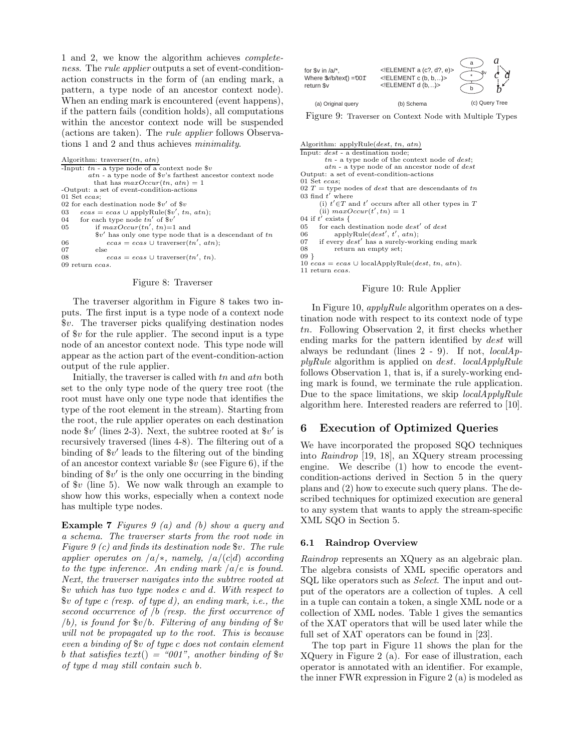1 and 2, we know the algorithm achieves completeness. The *rule applier* outputs a set of event-conditionaction constructs in the form of (an ending mark, a pattern, a type node of an ancestor context node). When an ending mark is encountered (event happens), if the pattern fails (condition holds), all computations within the ancestor context node will be suspended (actions are taken). The rule applier follows Observations 1 and 2 and thus achieves minimality.

Algorithm: traverser $(tn, \, \alpha t n)$ 

```
-Input: tn - a type node of a context node \$vatn - a type node of $v's farthest ancestor context node
         that has maxOccur(tn, \, atm) = 1-Output: a set of event-condition-actions
01 Set ecas;
02 for each destination node v' of v03 ecas = ecas \cup applyRule(\$v', tn, atm);04 for each type node tn' of v'05 if maxOccur(tn', tn)=1 and
          \mathbf{v}' has only one type node that is a descendant of the
06 ecas = ecas \cup \text{traverser}(tn', \text{atn});07 else
08 ecas = ecas \cup \text{traverser}(tn', tn).09 return ecas.
```
#### Figure 8: Traverser

The traverser algorithm in Figure 8 takes two inputs. The first input is a type node of a context node \$v. The traverser picks qualifying destination nodes of  $v$  for the rule applier. The second input is a type node of an ancestor context node. This type node will appear as the action part of the event-condition-action output of the rule applier.

Initially, the traverser is called with tn and atn both set to the only type node of the query tree root (the root must have only one type node that identifies the type of the root element in the stream). Starting from the root, the rule applier operates on each destination node  $v'$  (lines 2-3). Next, the subtree rooted at  $v'$  is recursively traversed (lines 4-8). The filtering out of a binding of \$v ′ leads to the filtering out of the binding of an ancestor context variable  $v$  (see Figure 6), if the binding of \$v ′ is the only one occurring in the binding of  $v$  (line 5). We now walk through an example to show how this works, especially when a context node has multiple type nodes.

Example 7 Figures 9 (a) and (b) show a query and a schema. The traverser starts from the root node in Figure 9 (c) and finds its destination node \$v. The rule applier operates on  $\sqrt{a}/*$ , namely,  $\sqrt{a}/(c|d)$  according to the type inference. An ending mark  $\int a/e$  is found. Next, the traverser navigates into the subtree rooted at \$v which has two type nodes c and d. With respect to  $$v$ of type c (resp. of type d), an ending mark, i.e., the$ second occurrence of  $/b$  (resp. the first occurrence of (b), is found for  $v/b$ . Filtering of any binding of  $v$ will not be propagated up to the root. This is because even a binding of \$v of type c does not contain element b that satisfies text() = "001", another binding of  $v$ of type d may still contain such b.

| for \$v in $/a$ ,<br>Where $\sqrt[6]{b/t}$ ext() = "001"<br>return \$v | ELEMENT a (c?, d?, e)<br>$\leq$ !ELEMENT c (b, b, )><br>$\leq$ !ELEMENT d (b, )> |                |
|------------------------------------------------------------------------|----------------------------------------------------------------------------------|----------------|
| (a) Original query                                                     | (b) Schema                                                                       | (c) Query Tree |

Figure 9: Traverser on Context Node with Multiple Types

Algorithm: applyRule(dest, tn, atn) Input: dest - a destination node;  $tn$  - a type node of the context node of  $dest$ ; atn - a type node of an ancestor node of dest Output: a set of event-condition-actions 01 Set ecas; 02 $T=$  type nodes of  $dest$  that are descendants of  $tn$ 03 find  $t'$  where (i)  $t' \in T$  and  $t'$  occurs after all other types in T (ii)  $maxOccur(t', tn) = 1$ 04 if  $t'$  exists { 05 for each destination node  $dest'$  of  $dest$ 06 applyRule( $dest', t', atn$ ); 07 if every  $dest'$  has a surely-working ending mark<br>08 return an empty set: return an empty set; 09 }  $10 \text{ e} \cos \theta = e \cos \theta \cos \theta$  localApplyRule(*dest, tn, atn*). 11 return ecas.

#### Figure 10: Rule Applier

In Figure 10,  $applyRule$  algorithm operates on a destination node with respect to its context node of type tn. Following Observation 2, it first checks whether ending marks for the pattern identified by dest will always be redundant (lines  $2 - 9$ ). If not,  $localAp$  $plyRule$  algorithm is applied on *dest.* localApplyRule follows Observation 1, that is, if a surely-working ending mark is found, we terminate the rule application. Due to the space limitations, we skip localApplyRule algorithm here. Interested readers are referred to [10].

# 6 Execution of Optimized Queries

We have incorporated the proposed SQO techniques into Raindrop [19, 18], an XQuery stream processing engine. We describe (1) how to encode the eventcondition-actions derived in Section 5 in the query plans and (2) how to execute such query plans. The described techniques for optimized execution are general to any system that wants to apply the stream-specific XML SQO in Section 5.

#### 6.1 Raindrop Overview

Raindrop represents an XQuery as an algebraic plan. The algebra consists of XML specific operators and SQL like operators such as Select. The input and output of the operators are a collection of tuples. A cell in a tuple can contain a token, a single XML node or a collection of XML nodes. Table 1 gives the semantics of the XAT operators that will be used later while the full set of XAT operators can be found in [23].

The top part in Figure 11 shows the plan for the XQuery in Figure 2 (a). For ease of illustration, each operator is annotated with an identifier. For example, the inner FWR expression in Figure 2 (a) is modeled as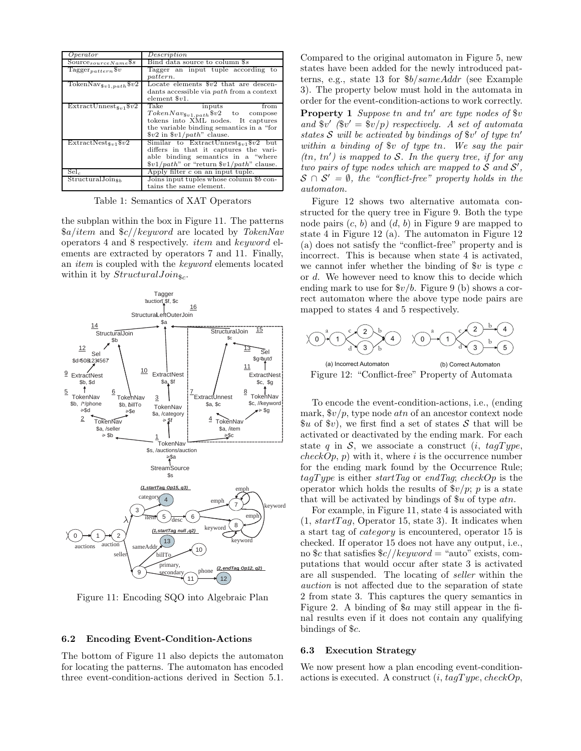| Operator                            | Description                                                                                                                                                                                                                                                                                                         |  |
|-------------------------------------|---------------------------------------------------------------------------------------------------------------------------------------------------------------------------------------------------------------------------------------------------------------------------------------------------------------------|--|
| Source $_{sourceName}$ \$s          | Bind data source to column \$s                                                                                                                                                                                                                                                                                      |  |
| Tagger <sub>pattern</sub> $v$       | Tagger an input tuple according to                                                                                                                                                                                                                                                                                  |  |
|                                     | pattern.                                                                                                                                                                                                                                                                                                            |  |
| Token $\text{Nav}_{\$v1.path} \$v2$ | Locate elements $v2$ that are descen-                                                                                                                                                                                                                                                                               |  |
|                                     | dants accessible via <i>path</i> from a context                                                                                                                                                                                                                                                                     |  |
|                                     | element $v1$ .                                                                                                                                                                                                                                                                                                      |  |
| $Extractionness_{3v1}$ \$v2         | Take<br>from<br>inputs                                                                                                                                                                                                                                                                                              |  |
|                                     | $TokenNav_{\$v1, path} \$v2$ to compose                                                                                                                                                                                                                                                                             |  |
|                                     | tokens into XML nodes. It captures                                                                                                                                                                                                                                                                                  |  |
|                                     | the variable binding semantics in a "for"                                                                                                                                                                                                                                                                           |  |
|                                     | $v2$ in $v1/path$ " clause.                                                                                                                                                                                                                                                                                         |  |
| $Extractionest_{8n1}$ \$v2          | Similar to ExtractUnnest <sub>\$v1</sub> \$v2 but                                                                                                                                                                                                                                                                   |  |
|                                     | differs in that it captures the vari-                                                                                                                                                                                                                                                                               |  |
|                                     | able binding semantics in a "where                                                                                                                                                                                                                                                                                  |  |
|                                     | $\frac{1}{2}$ $\frac{1}{2}$ $\frac{1}{2}$ $\frac{1}{2}$ $\frac{1}{2}$ $\frac{1}{2}$ $\frac{1}{2}$ $\frac{1}{2}$ $\frac{1}{2}$ $\frac{1}{2}$ $\frac{1}{2}$ $\frac{1}{2}$ $\frac{1}{2}$ $\frac{1}{2}$ $\frac{1}{2}$ $\frac{1}{2}$ $\frac{1}{2}$ $\frac{1}{2}$ $\frac{1}{2}$ $\frac{1}{2}$ $\frac{1}{2}$ $\frac{1}{2}$ |  |
| Sel <sub>c</sub>                    | Apply filter $c$ on an input tuple.                                                                                                                                                                                                                                                                                 |  |
| $StructuralJoin_{\&b}$              | Joins input tuples whose column \$b con-                                                                                                                                                                                                                                                                            |  |
|                                     | tains the same element.                                                                                                                                                                                                                                                                                             |  |

Table 1: Semantics of XAT Operators

the subplan within the box in Figure 11. The patterns  $a/item$  and  $c// keyword$  are located by TokenNav operators 4 and 8 respectively. item and keyword elements are extracted by operators 7 and 11. Finally, an item is coupled with the keyword elements located within it by  $StructuralJoin_{\$c}$ .



Figure 11: Encoding SQO into Algebraic Plan

#### 6.2 Encoding Event-Condition-Actions

The bottom of Figure 11 also depicts the automaton for locating the patterns. The automaton has encoded three event-condition-actions derived in Section 5.1. Compared to the original automaton in Figure 5, new states have been added for the newly introduced patterns, e.g., state 13 for \$b/sameAddr (see Example 3). The property below must hold in the automata in order for the event-condition-actions to work correctly.

**Property 1** Suppose tn and tn' are type nodes of  $v$ and  $v'(v' = v/p)$  respectively. A set of automata states  $S$  will be activated by bindings of  $v'$  of type tn' within a binding of \$v of type tn. We say the pair  $(tn, tn')$  is mapped to S. In the query tree, if for any two pairs of type nodes which are mapped to  $S$  and  $S'$ ,  $S \cap S' = \emptyset$ , the "conflict-free" property holds in the automaton.

Figure 12 shows two alternative automata constructed for the query tree in Figure 9. Both the type node pairs  $(c, b)$  and  $(d, b)$  in Figure 9 are mapped to state 4 in Figure 12 (a). The automaton in Figure 12 (a) does not satisfy the "conflict-free" property and is incorrect. This is because when state 4 is activated, we cannot infer whether the binding of  $v$  is type  $c$ or d. We however need to know this to decide which ending mark to use for  $\frac{6v}{b}$ . Figure 9 (b) shows a correct automaton where the above type node pairs are mapped to states 4 and 5 respectively.



Figure 12: "Conflict-free" Property of Automata

To encode the event-condition-actions, i.e., (ending mark,  $\frac{6v}{p}$ , type node *atn* of an ancestor context node  $\mathscr{L}u$  of  $\mathscr{L}v$ , we first find a set of states S that will be activated or deactivated by the ending mark. For each state q in S, we associate a construct  $(i, taqType,$  $checkOp, p)$  with it, where i is the occurrence number for the ending mark found by the Occurrence Rule;  $taqType$  is either startTag or endTag; checkOp is the operator which holds the results of  $\frac{f(v)}{p}$ ; p is a state that will be activated by bindings of  $u$  of type  $atn$ .

For example, in Figure 11, state 4 is associated with  $(1, startTag, Operator 15, state 3)$ . It indicates when a start tag of category is encountered, operator 15 is checked. If operator 15 does not have any output, i.e., no \$c that satisfies  $c//keyword = "auto" exists, com$ putations that would occur after state 3 is activated are all suspended. The locating of seller within the auction is not affected due to the separation of state 2 from state 3. This captures the query semantics in Figure 2. A binding of \$a may still appear in the final results even if it does not contain any qualifying bindings of \$c.

## 6.3 Execution Strategy

We now present how a plan encoding event-conditionactions is executed. A construct  $(i, tagType, checkOp,$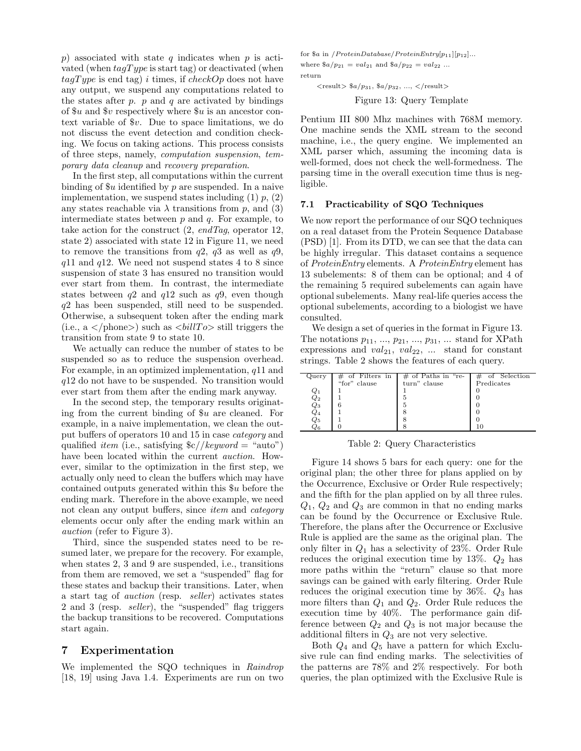p) associated with state q indicates when p is activated (when  $tagType$  is start tag) or deactivated (when  $tagType$  is end tag) i times, if checkOp does not have any output, we suspend any computations related to the states after  $p$ .  $p$  and  $q$  are activated by bindings of  $u$  and  $v$  respectively where  $u$  is an ancestor context variable of \$v. Due to space limitations, we do not discuss the event detection and condition checking. We focus on taking actions. This process consists of three steps, namely, computation suspension, temporary data cleanup and recovery preparation.

In the first step, all computations within the current binding of  $u$  identified by p are suspended. In a naive implementation, we suspend states including  $(1)$   $p$ ,  $(2)$ any states reachable via  $\lambda$  transitions from p, and (3) intermediate states between  $p$  and  $q$ . For example, to take action for the construct  $(2, endTag, operator 12,$ state 2) associated with state 12 in Figure 11, we need to remove the transitions from  $q2$ ,  $q3$  as well as  $q9$ ,  $q11$  and  $q12$ . We need not suspend states 4 to 8 since suspension of state 3 has ensured no transition would ever start from them. In contrast, the intermediate states between  $q2$  and  $q12$  such as  $q9$ , even though q2 has been suspended, still need to be suspended. Otherwise, a subsequent token after the ending mark (i.e.,  $a$  </phone>) such as <br/> <br/> still triggers the transition from state 9 to state 10.

We actually can reduce the number of states to be suspended so as to reduce the suspension overhead. For example, in an optimized implementation,  $q11$  and q12 do not have to be suspended. No transition would ever start from them after the ending mark anyway.

In the second step, the temporary results originating from the current binding of \$u are cleaned. For example, in a naive implementation, we clean the output buffers of operators 10 and 15 in case category and qualified *item* (i.e., satisfying  $\frac{c}{k}$  //*keyword* = "auto") have been located within the current *auction*. However, similar to the optimization in the first step, we actually only need to clean the buffers which may have contained outputs generated within this \$u before the ending mark. Therefore in the above example, we need not clean any output buffers, since *item* and *category* elements occur only after the ending mark within an auction (refer to Figure 3).

Third, since the suspended states need to be resumed later, we prepare for the recovery. For example, when states 2, 3 and 9 are suspended, i.e., transitions from them are removed, we set a "suspended" flag for these states and backup their transitions. Later, when a start tag of auction (resp. seller) activates states 2 and 3 (resp. seller), the "suspended" flag triggers the backup transitions to be recovered. Computations start again.

## 7 Experimentation

We implemented the SQO techniques in Raindrop [18, 19] using Java 1.4. Experiments are run on two

for \$a in /ProteinDatabase/ProteinEntry $[p_{11}][p_{12}]...$ where  $a/p_{21} = val_{21}$  and  $a/p_{22} = val_{22}$  ... return

 $\langle \text{result} \rangle \$   $a/p_{31}, \$   $a/p_{32}, \ldots, \langle \text{result} \rangle$ 

Figure 13: Query Template

Pentium III 800 Mhz machines with 768M memory. One machine sends the XML stream to the second machine, i.e., the query engine. We implemented an XML parser which, assuming the incoming data is well-formed, does not check the well-formedness. The parsing time in the overall execution time thus is negligible.

#### 7.1 Practicability of SQO Techniques

We now report the performance of our SQO techniques on a real dataset from the Protein Sequence Database (PSD) [1]. From its DTD, we can see that the data can be highly irregular. This dataset contains a sequence of ProteinEntry elements. A ProteinEntry element has 13 subelements: 8 of them can be optional; and 4 of the remaining 5 required subelements can again have optional subelements. Many real-life queries access the optional subelements, according to a biologist we have consulted.

We design a set of queries in the format in Figure 13. The notations  $p_{11}, ..., p_{21}, ..., p_{31}, ...$  stand for XPath expressions and  $val_{21}$ ,  $val_{22}$ , ... stand for constant strings. Table 2 shows the features of each query.

| Query               | $\#$ of Filters in | $\#$ of Paths in "re- | of Selection |
|---------------------|--------------------|-----------------------|--------------|
|                     | "for" clause       | turn" clause          | Predicates   |
| $_{Q_1}$            |                    |                       |              |
| $\scriptstyle Q_2$  |                    |                       |              |
| $\scriptstyle{Q_3}$ |                    |                       |              |
| $Q_4$               |                    |                       |              |
| $\scriptstyle{Q_5}$ |                    |                       |              |
| ິ້                  |                    |                       |              |

Table 2: Query Characteristics

Figure 14 shows 5 bars for each query: one for the original plan; the other three for plans applied on by the Occurrence, Exclusive or Order Rule respectively; and the fifth for the plan applied on by all three rules.  $Q_1, Q_2$  and  $Q_3$  are common in that no ending marks can be found by the Occurrence or Exclusive Rule. Therefore, the plans after the Occurrence or Exclusive Rule is applied are the same as the original plan. The only filter in  $Q_1$  has a selectivity of 23%. Order Rule reduces the original execution time by 13%.  $Q_2$  has more paths within the "return" clause so that more savings can be gained with early filtering. Order Rule reduces the original execution time by  $36\%$ .  $Q_3$  has more filters than  $Q_1$  and  $Q_2$ . Order Rule reduces the execution time by 40%. The performance gain difference between  $Q_2$  and  $Q_3$  is not major because the additional filters in  $\mathbb{Q}_3$  are not very selective.

Both  $Q_4$  and  $Q_5$  have a pattern for which Exclusive rule can find ending marks. The selectivities of the patterns are 78% and 2% respectively. For both queries, the plan optimized with the Exclusive Rule is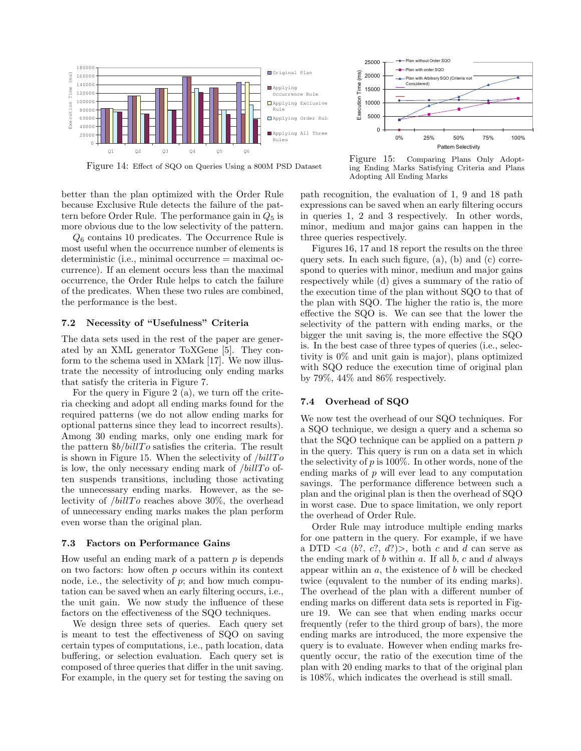

Figure 14: Effect of SQO on Queries Using a 800M PSD Dataset

Figure 15: Comparing Plans Only Adopting Ending Marks Satisfying Criteria and Plans Adopting All Ending Marks

better than the plan optimized with the Order Rule because Exclusive Rule detects the failure of the pattern before Order Rule. The performance gain in  $Q_5$  is more obvious due to the low selectivity of the pattern.

 $Q_6$  contains 10 predicates. The Occurrence Rule is most useful when the occurrence number of elements is deterministic (i.e., minimal occurrence = maximal occurrence). If an element occurs less than the maximal occurrence, the Order Rule helps to catch the failure of the predicates. When these two rules are combined, the performance is the best.

# 7.2 Necessity of "Usefulness" Criteria

The data sets used in the rest of the paper are generated by an XML generator ToXGene [5]. They conform to the schema used in XMark [17]. We now illustrate the necessity of introducing only ending marks that satisfy the criteria in Figure 7.

For the query in Figure 2 (a), we turn off the criteria checking and adopt all ending marks found for the required patterns (we do not allow ending marks for optional patterns since they lead to incorrect results). Among 30 ending marks, only one ending mark for the pattern  $b/billTo$  satisfies the criteria. The result is shown in Figure 15. When the selectivity of  $/billTo$ is low, the only necessary ending mark of  $/billTo$  often suspends transitions, including those activating the unnecessary ending marks. However, as the selectivity of  $/billTo$  reaches above 30%, the overhead of unnecessary ending marks makes the plan perform even worse than the original plan.

## 7.3 Factors on Performance Gains

How useful an ending mark of a pattern  $p$  is depends on two factors: how often p occurs within its context node, i.e., the selectivity of  $p$ ; and how much computation can be saved when an early filtering occurs, i.e., the unit gain. We now study the influence of these factors on the effectiveness of the SQO techniques.

We design three sets of queries. Each query set is meant to test the effectiveness of SQO on saving certain types of computations, i.e., path location, data buffering, or selection evaluation. Each query set is composed of three queries that differ in the unit saving. For example, in the query set for testing the saving on path recognition, the evaluation of 1, 9 and 18 path expressions can be saved when an early filtering occurs in queries 1, 2 and 3 respectively. In other words, minor, medium and major gains can happen in the three queries respectively.

Figures 16, 17 and 18 report the results on the three query sets. In each such figure, (a), (b) and (c) correspond to queries with minor, medium and major gains respectively while (d) gives a summary of the ratio of the execution time of the plan without SQO to that of the plan with SQO. The higher the ratio is, the more effective the SQO is. We can see that the lower the selectivity of the pattern with ending marks, or the bigger the unit saving is, the more effective the SQO is. In the best case of three types of queries (i.e., selectivity is 0% and unit gain is major), plans optimized with SQO reduce the execution time of original plan by 79%, 44% and 86% respectively.

## 7.4 Overhead of SQO

We now test the overhead of our SQO techniques. For a SQO technique, we design a query and a schema so that the SQO technique can be applied on a pattern p in the query. This query is run on a data set in which the selectivity of  $p$  is 100%. In other words, none of the ending marks of  $p$  will ever lead to any computation savings. The performance difference between such a plan and the original plan is then the overhead of SQO in worst case. Due to space limitation, we only report the overhead of Order Rule.

Order Rule may introduce multiple ending marks for one pattern in the query. For example, if we have a DTD  $\langle a \rangle$  (b?, c?, d?) $>$ , both c and d can serve as the ending mark of b within a. If all  $b$ , c and d always appear within an  $a$ , the existence of  $b$  will be checked twice (equvalent to the number of its ending marks). The overhead of the plan with a different number of ending marks on different data sets is reported in Figure 19. We can see that when ending marks occur frequently (refer to the third group of bars), the more ending marks are introduced, the more expensive the query is to evaluate. However when ending marks frequently occur, the ratio of the execution time of the plan with 20 ending marks to that of the original plan is 108%, which indicates the overhead is still small.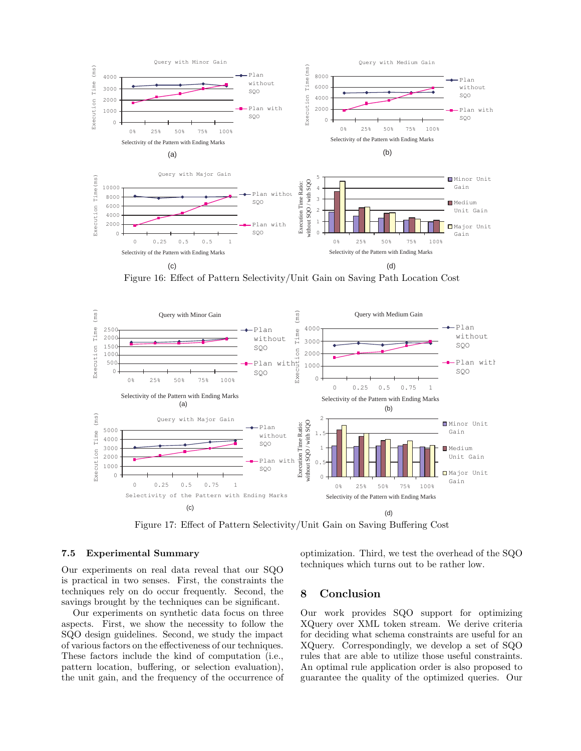

Figure 16: Effect of Pattern Selectivity/Unit Gain on Saving Path Location Cost



Figure 17: Effect of Pattern Selectivity/Unit Gain on Saving Buffering Cost

## 7.5 Experimental Summary

Our experiments on real data reveal that our SQO is practical in two senses. First, the constraints the techniques rely on do occur frequently. Second, the savings brought by the techniques can be significant.

Our experiments on synthetic data focus on three aspects. First, we show the necessity to follow the SQO design guidelines. Second, we study the impact of various factors on the effectiveness of our techniques. These factors include the kind of computation (i.e., pattern location, buffering, or selection evaluation), the unit gain, and the frequency of the occurrence of optimization. Third, we test the overhead of the SQO techniques which turns out to be rather low.

# 8 Conclusion

Our work provides SQO support for optimizing XQuery over XML token stream. We derive criteria for deciding what schema constraints are useful for an XQuery. Correspondingly, we develop a set of SQO rules that are able to utilize those useful constraints. An optimal rule application order is also proposed to guarantee the quality of the optimized queries. Our